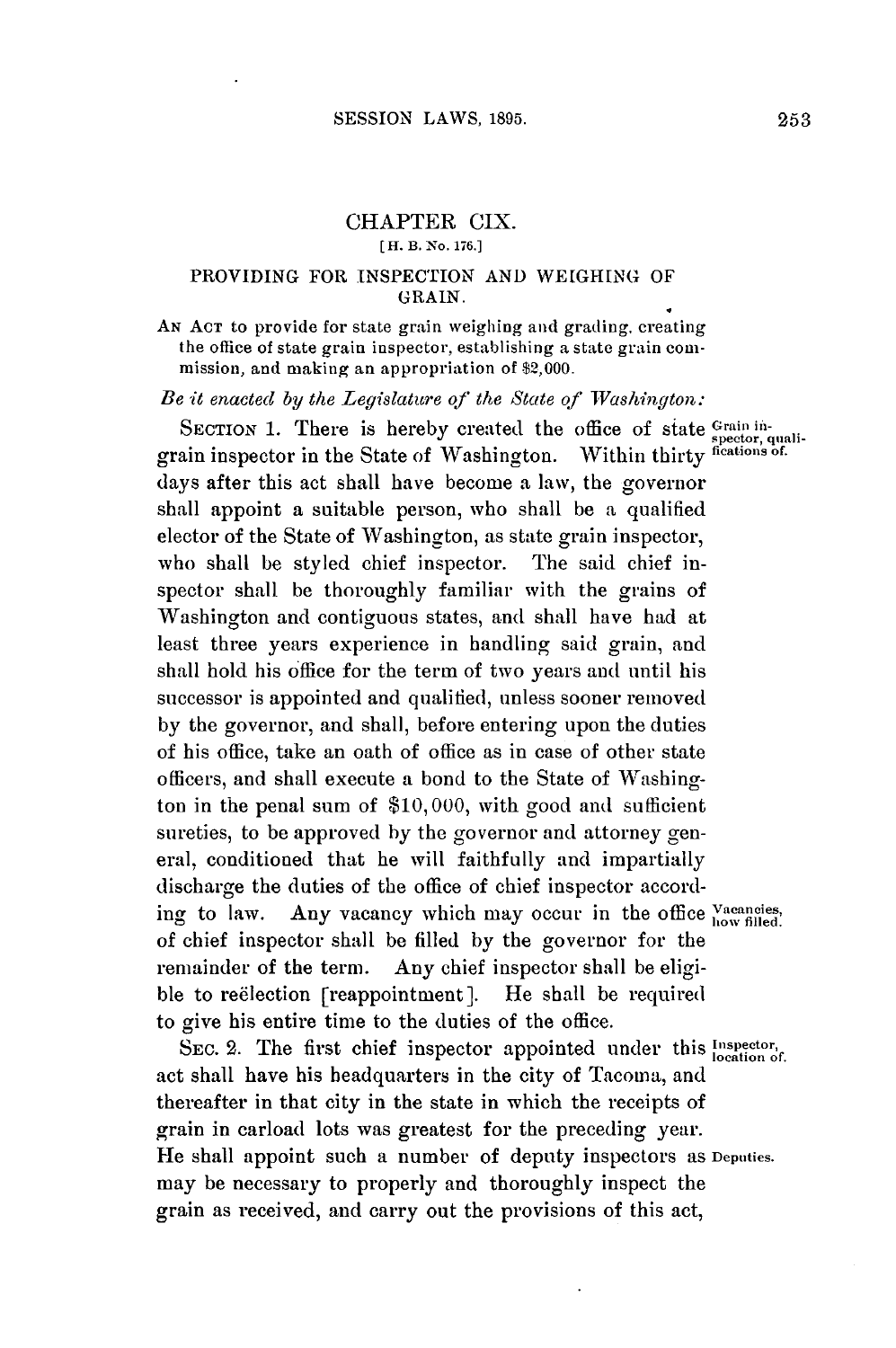### CHAPTER CIX. **[ H. B. No. 176.]**

### PROVIDING FOR **INSPECTION AND WEIGHING** OF **GRAIN.**

**AN ACT** to provide for state grain weighing and grading, creating the office of state grain inspector, establishing a state grain commission, and making an appropriation of \$2,000.

*Be it enacted by the Legislature of the State of Washington:*

SECTION 1. There is hereby created the office of state *Spector*, quali grain inspector in the State of Washington. Within thirty **fications of.** days after this act shall have become a law, the governor shall appoint a suitable person, who shall be a qualified elector of the State of Washington, as state grain inspector, who shall be styled chief inspector. spector shall be thoroughly familiar with the grains of Washington and contiguous states, and shall have had at least three years experience in handling said grain, and shall hold his office for the term of two years and until his successor is appointed and qualified, unless sooner removed **by** the governor, and shall, before entering upon the duties of his office, take an oath of office as in case of other state officers, and shall execute a bond to the State of Washington in the penal sum of **\$10,000,** with good and sufficient sureties, to be approved **by** the governor and attorney general, conditioned that he will faithfully and impartially discharge the duties of the office of chief inspector according to law. Any vacancy which may occur in the office Vacancies, of chief inspector shall be filled **by** the governor for the remainder of the term. Any chief inspector shall be eligible to reelection [reappointment]. He shall be required to give his entire time to the duties of the office.

SEC. 2. The first chief inspector appointed under this **Inspector**,  $\delta$ act shall have his headquarters in the city of Tacoma, and thereafter in that city in the state in which the receipts of grain in carload lots was greatest for the preceding year. He shall appoint such a number of deputy inspectors as **Deputies.** may be necessary to properly and thoroughly inspect the grain as received, and carry out the provisions of this act,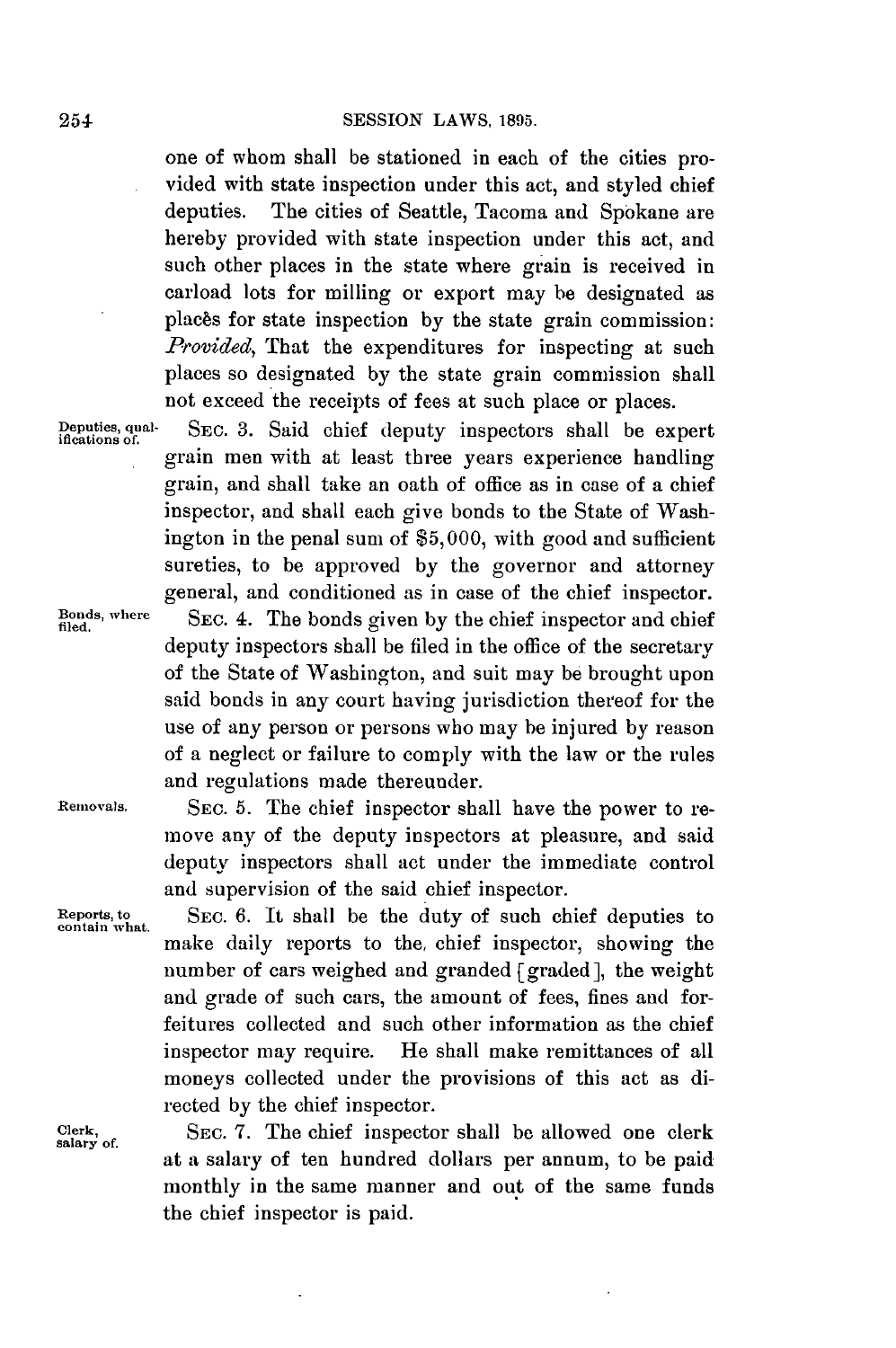### **SESSION** LAWS, **1895.**

one of whom shall be stationed in each of the cities provided with state inspection under this act, and styled chief deputies. The cities of Seattle, Tacoma and Spokane are hereby provided with state inspection under this act, and such other places in the state where grain is received in carload lots for milling or export may be designated as plac6s for state inspection **by** the state grain commission: *Provided,* That the expenditures for inspecting at such places so designated **by** the state grain commission shall not exceed the receipts of fees at such place or places.

**Deputies, qual-** SEC. **3.** Said chief deputy inspectors shall be expert **ifications of.** grain men with at least three years experience handling grain, and shall take an oath of office as in case of a chief inspector, and shall each give bonds to the State of Washington in the penal sum of **\$5,000,** with good and sufficient sureties, to be approved **by** the governor and attorney general, and conditioned as in case of the chief inspector.

Bonds, where **SEC. 4.** The bonds given by the chief inspector and chief deputy inspectors shall be filed in the office of the secretary of the State of Washington, and suit may **be** brought upon said bonds in any court having jurisdiction thereof for the use of any person or persons who may be injured **by** reason of a neglect or failure to comply with the law or the rules and regulations made thereunder.

**Removals. SEc. 5.** The chief inspector shall have the power to remove any of the deputy inspectors at pleasure, and said deputy inspectors shall act under the immediate control and supervision of the said chief inspector.

**Reports, to SEC. 6.** It shall be the duty of such chief deputies to **contain what.** make daily reports to the, chief inspector, showing the number of cars weighed and granded [graded], the weight and grade of such cars, the amount **of** fees, fines and forfeitures collected and such other information as the chief inspector may require. He shall make remittances of all moneys collected under the provisions of this act as directed **by** the chief inspector.

> SEC. 7. The chief inspector shall be allowed one clerk at a salary of ten hundred dollars per annum, to be paid monthly in the same manner and out of the same funds the chief inspector is paid.

salary of.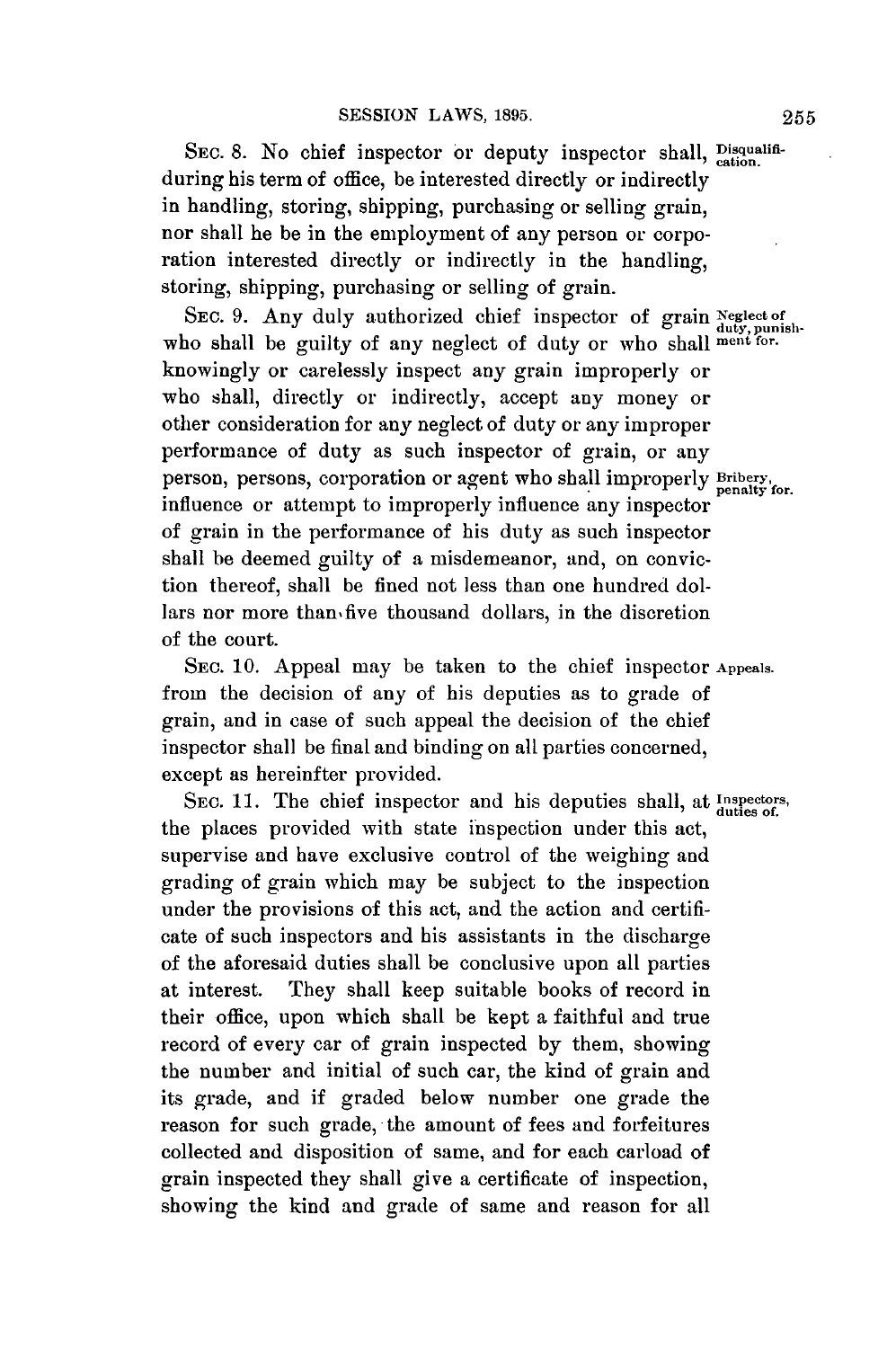SEC. 8. No chief inspector or deputy inspector shall, *pisqualifi*during his term of office, be interested directly or indirectly in handling, storing, shipping, purchasing or selling grain, nor shall he be in the employment of any person or corporation interested directly or indirectly in the handling, storing, shipping, purchasing or selling of grain.

SEC. 9. Any duly authorized chief inspector of grain Neglect of who shall be guilty of any neglect of duty or who shall ment for. knowingly or carelessly inspect any grain improperly or who shall, directly or indirectly, accept any money or other consideration for any neglect of duty or any improper performance of duty as such inspector of grain, or any person, persons, corporation or agent who shall improperly Bribery, penalty for. influence or attempt to improperly influence any inspector of grain in the performance of his duty as such inspector shall be deemed guilty of a misdemeanor, and, on conviction thereof, shall be fined not less than one hundred dollars nor more than five thousand dollars, in the discretion of the court.

**SEC. 10.** Appeal may be taken to the chief inspector **Appeals.** from the decision of any of his deputies as to grade of grain, and in case of such appeal the decision of the chief inspector shall be final and binding on all parties concerned, except as hereinfter provided.

SEC. 11. The chief inspector and his deputies shall, at *Inspectors*, the places provided with state inspection under this act, supervise and have exclusive control of the weighing and grading of grain which may be subject to the inspection under the provisions of this act, and the action and certificate of such inspectors and his assistants in the discharge of the aforesaid duties shall be conclusive upon all parties at interest. They shall keep suitable books of record in their office, upon which shall be kept a faithful and true record of every car of grain inspected **by** them, showing the number and initial of such car, the kind of grain and its grade, and if graded below number one grade the reason for such grade, the amount of fees and forfeitures collected and disposition of same, and for each carload of grain inspected they shall give a certificate of inspection, showing the kind and grade of same and reason for all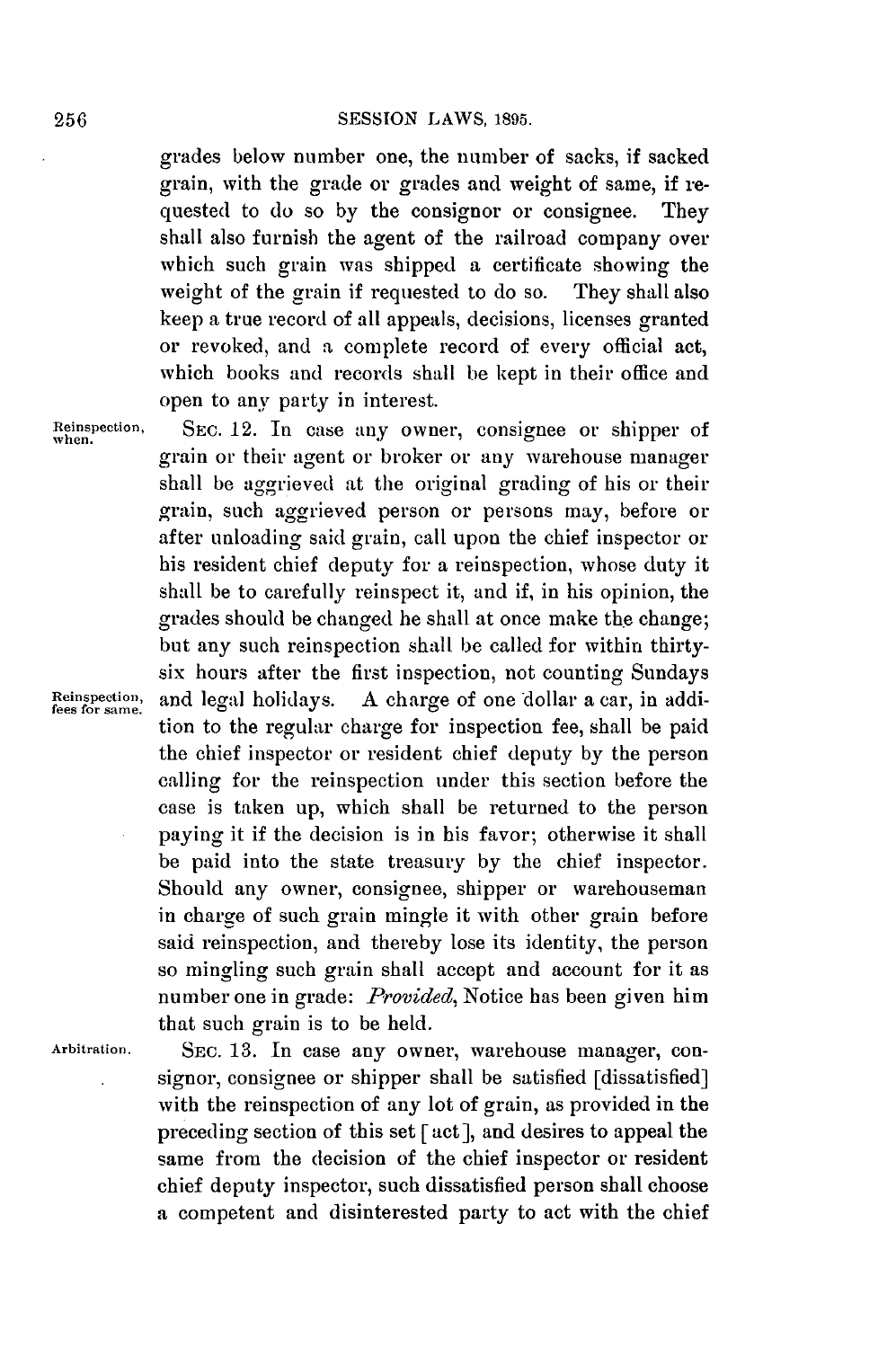#### **SESSION** LAWS, **1895.**

grades below number one, the number of sacks, if sacked grain, with the grade or grades and weight of same, if requested to do so **by** the consignor or consignee. They shall also furnish the agent of the railroad company over which such grain was shipped a certificate showing the weight of the grain if requested to do so. They shall also keep a true record of all appeals, decisions, licenses granted or revoked, and a complete record of every official act, which books and records shall be kept in their office and open to any party in interest.

grain or their agent or broker or any warehouse manager shall be aggrieved at the original grading of his or their grain, such aggrieved person or persons may, before or after unloading said grain, call upon the chief inspector or his resident chief deputy for a reinspection, whose duty it

Reinspection, SEC. 12. In case any owner, consignee or shipper of when.

shall be to carefully reinspect it, and if, in his opinion, the grades should be changed he shall at once make the change; but any such reinspection shall be called for within thirtysix hours after the first inspection, not counting Sundays Reinspection, and legal holidays. A charge of one dollar a car, in addition to the regular charge for inspection fee, shall be paid the chief inspector or resident chief deputy **by** the person calling for the reinspection under this section before the case is taken up, which shall be returned to the person paying it if the decision is in his favor; otherwise it shall be paid into the state treasury **by** the chief inspector. Should any owner, consignee, shipper or warehouseman in charge of such grain mingle it with other grain before said reinspection, and thereby lose its identity, the person so mingling such grain shall accept and account for it as number one in grade: *Provided,* Notice has been given him

that such grain is to be held.

**Arbitration. SEC. 13.** In case any owner, warehouse manager, consignor, consignee or shipper shall be satisfied [dissatisfied] with the reinspection of any lot of grain, as provided in the preceding section of this set **[act],** and desires to appeal the same from the decision of the chief inspector or resident chief deputy inspector, such dissatisfied person shall choose a competent and disinterested party to act with the chief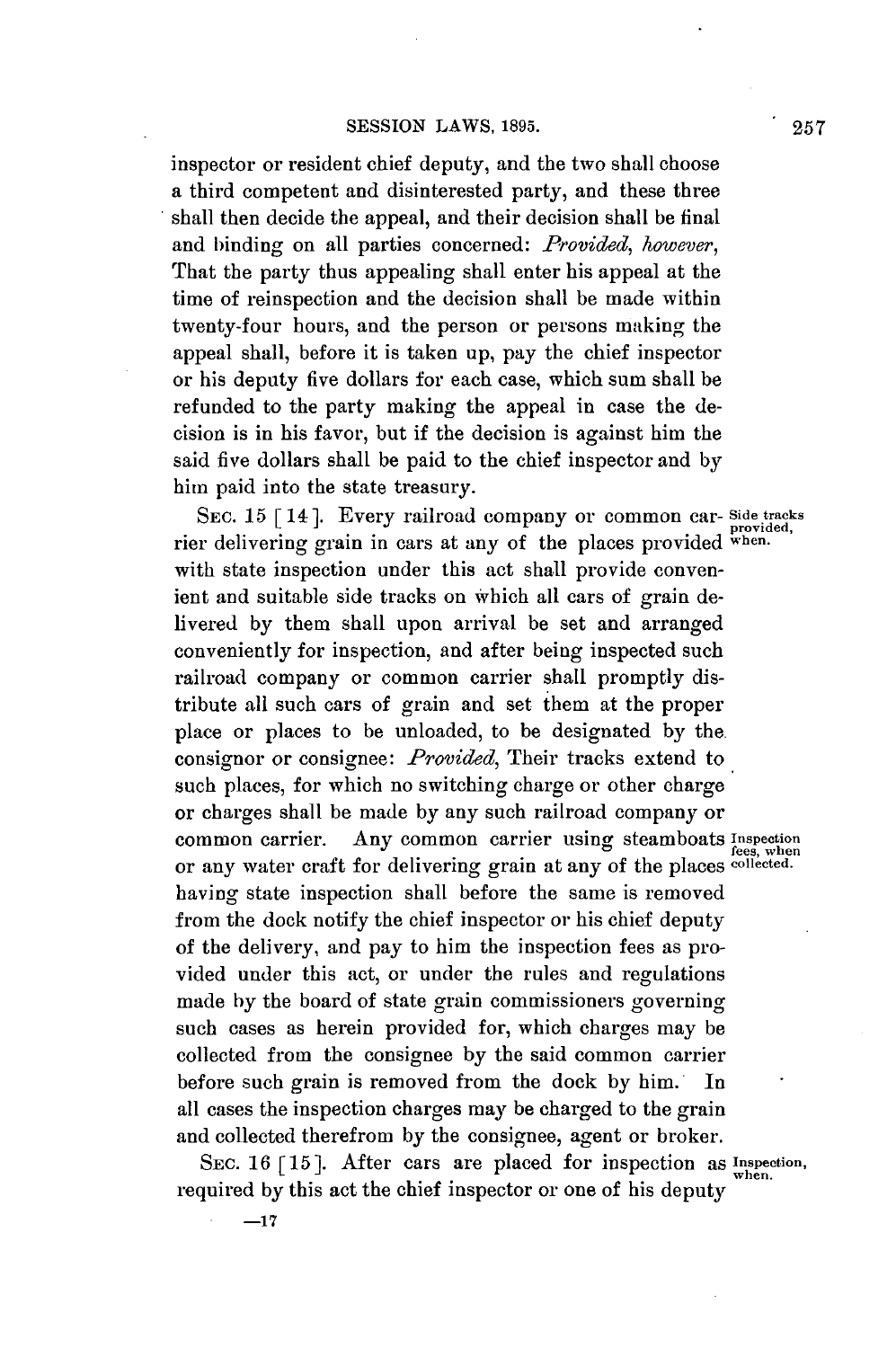inspector or resident chief deputy, and the two shall choose a third competent and disinterested party, and these three shall then decide the appeal, and their decision shall be final and binding on all parties concerned: *Provided, however,* That the party thus appealing shall enter his appeal at the time of reinspection and the decision shall be made within twenty-four hours, and the person or persons making the appeal shall, before it is taken up, pay the chief inspector or his deputy five dollars for each case, which sum shall be refunded to the party making the appeal in case the decision is in his favor, but if the decision is against him the said five dollars shall be paid to the chief inspector and **by** him paid into the state treasury.

**SEC. 15 [14].** Every railroad company or common car- **Side tracks** provided, rier delivering grain in cars at any of the places provided **when.** with state inspection under this act shall provide convenient and suitable side tracks on which all cars of grain delivered **by** them shall upon arrival be set and arranged conveniently for inspection, and after being inspected such railroad company or common carrier shall promptly distribute all such cars of grain and set them at the proper place or places to be unloaded, to be designated **by** the. consignor or consignee: *Provided,* Their tracks extend to such places, for which no switching charge or other charge or charges shall be made **by** any such railroad company or common carrier. Any common carrier using steamboats Inspection or any water craft for delivering grain at any of the places **collected.** having state inspection shall before the same is removed from the dock notify the chief inspector or his chief deputy of the delivery, and pay to him the inspection fees as provided under this act, or under the rules and regulations made **by** the board of state grain commissioners governing such cases as herein provided for, which charges may be collected from the consignee **by** the said common carrier before such grain is removed from the dock **by** him. In all cases the inspection charges may be charged to the grain and collected therefrom **by** the consignee, agent or broker.

**SEC. 16 [15].** After cars are placed for inspection as **Inspection,** required **by** this act the chief inspector or one of his deputy

**-17**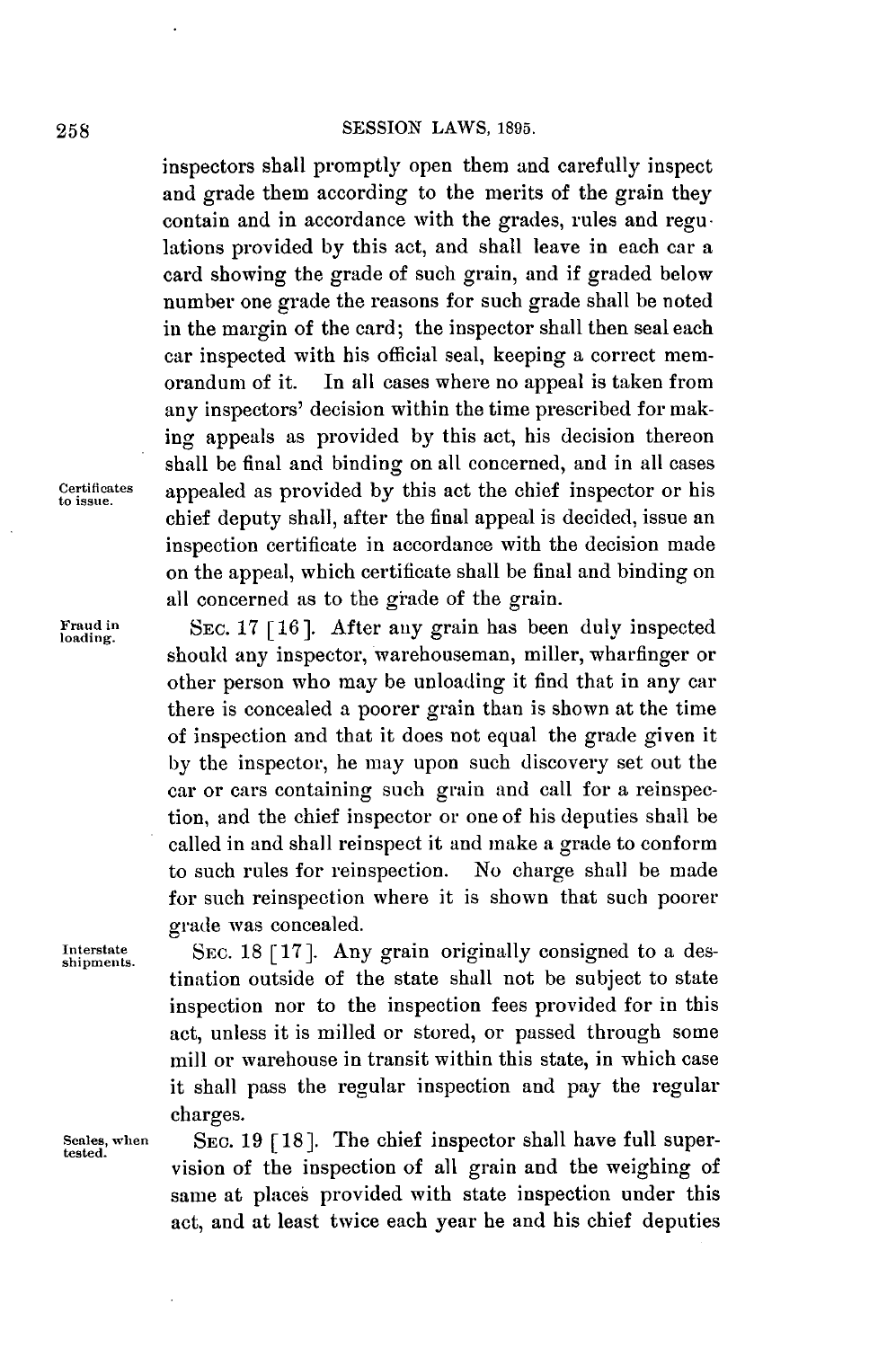inspectors shall promptly open them and carefully inspect and grade them according to the merits of the grain they contain and in accordance with the grades, rules and regulations provided **by** this act, and shall leave in each car a card showing the grade of such grain, and if graded below number one grade the reasons for such grade shall be noted in the margin of the card; the inspector shall then seal each car inspected with his official seal, keeping a correct memorandum of it. In all cases where no appeal is taken from any inspectors' decision within the time prescribed for making appeals as provided **by** this act, his decision thereon shall be final and binding on all concerned, and in all cases teruftes appealed as provided **by** this act the chief inspector or his chief deputy shall, after the final appeal is decided, issue an inspection certificate in accordance with the decision made on the appeal, which certificate shall be final and binding on all concerned as to the giade of the grain.

Fraud in SEC. 17 [16]. After any grain has been duly inspected loading. should any inspector, warehouseman, miller, wharfinger or other person who may be unloading it find that in any car there is concealed a poorer grain than is shown at the time of inspection and that it does not equal the grade given it **by** the inspector, he may upon such discovery set out the car or cars containing such **grain** and call for a reinspection, and the chief inspector or one of his deputies shall be called in and shall reinspect it and make a grade to conform to such rules for reinspection. No charge shall be made for such reinspection where it is shown that such poorer

grade was concealed.<br>
Interstate SEC. 18 [17]. Any grain originally consigned to a destination outside of the state shall not be subject to state inspection nor to the inspection fees provided for in this act, unless it is milled or stored, or passed through some mill or warehouse in transit within this state, in which case it shall pass the regular inspection and pay the regular charges.

Scales, when SEC. 19 [18]. The chief inspector shall have full supervision of the inspection of all grain and the weighing of same at places provided with state inspection under this act, and at least twice each year he and his chief deputies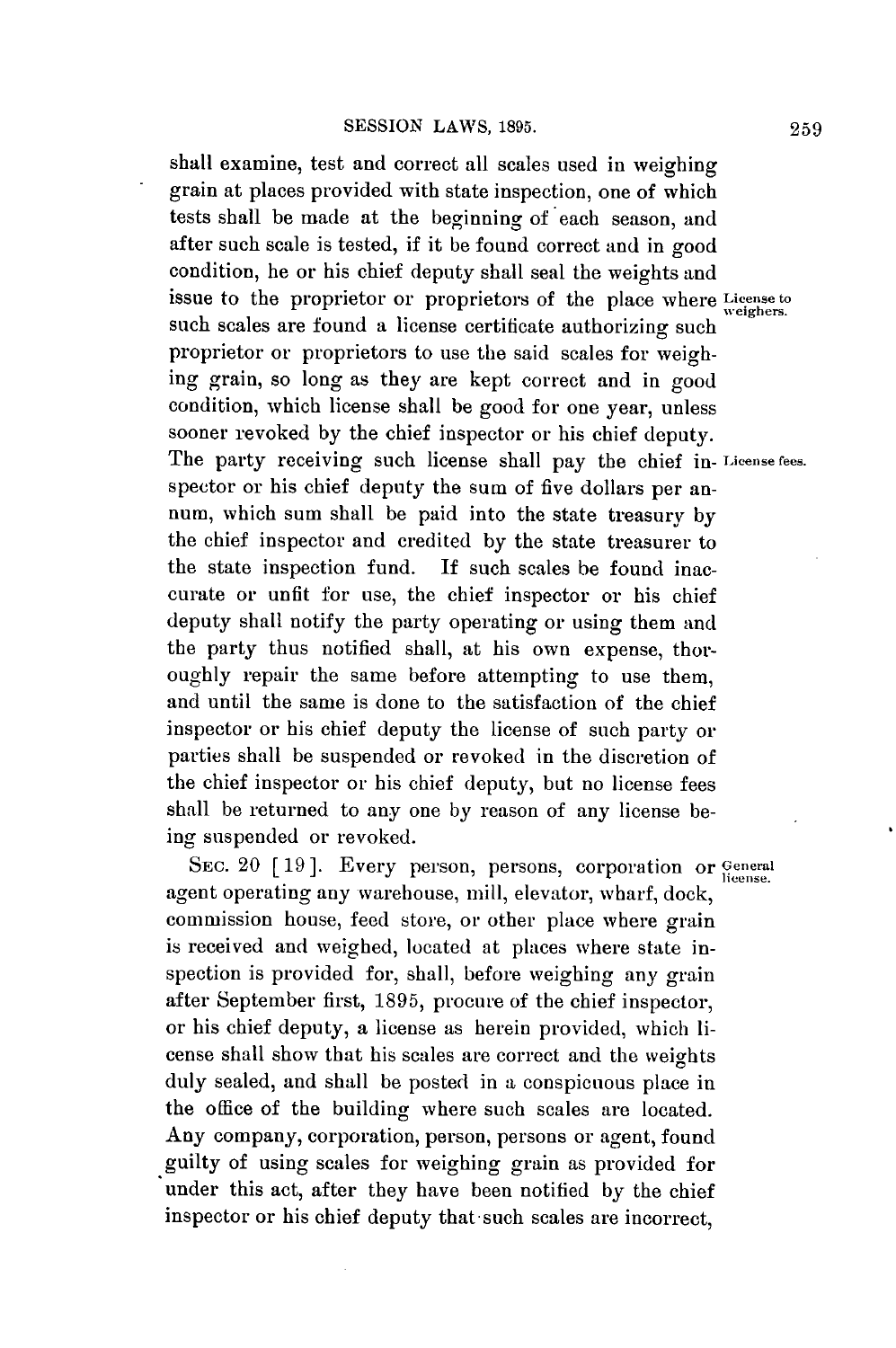shall examine, test and correct all scales used in weighing grain at places provided with state inspection, one **of** which tests shall be made at the beginning of each season, and after such scale is tested, if it be found correct and in good condition, he or his chief deputy shall seal the weights and issue to the proprietor or proprietors of the place where **License to** weighers. such scales are found a license certificate authorizing such proprietor or proprietors to use the said scales for weighing grain, so long as they are kept correct and in good condition, which license shall be good for one year, unless sooner revoked **by** the chief inspector or his chief deputy. The party receiving such license shall pay the chief in- **License fees.** spector or his chief deputy the sum of five dollars per annum, which sum shall be paid into the state treasury **by** the chief inspector and credited **by** the state treasurer to the state inspection fund. **If** such scales be found inaccurate or unfit for use, the chief inspector or his chief deputy shall notify the party operating or using them and the party thus notified shall, at his own expense, thoroughly repair the same before attempting to use them, and until the same is done to the satisfaction of the chief inspector or his chief deputy the license of such party or parties shall be suspended or revoked in the discretion of the chief inspector or his chief deputy, but no license fees shall be returned to any one **by** reason of any license being suspended or revoked.

SEC. 20 <sup>[19]</sup>. Every person, persons, corporation or *General* agent operating any warehouse, mill, elevator, wharf, dock, commission house, feed store, or other place where grain is received and weighed, located at places where state inspection is provided for, shall, before weighing any grain after September first, **1895,** procure of the chief inspector, or his chief deputy, a license as herein provided, which license shall show that his scales are correct and the weights duly sealed, and shall be posted in a conspicuous place in the office of the building where such scales are located. Any company, corporation, person, persons or agent, found guilty of using scales for weighing grain as provided for under this act, after they have been notified **by** the chief inspector or his chief deputy that-such scales are incorrect,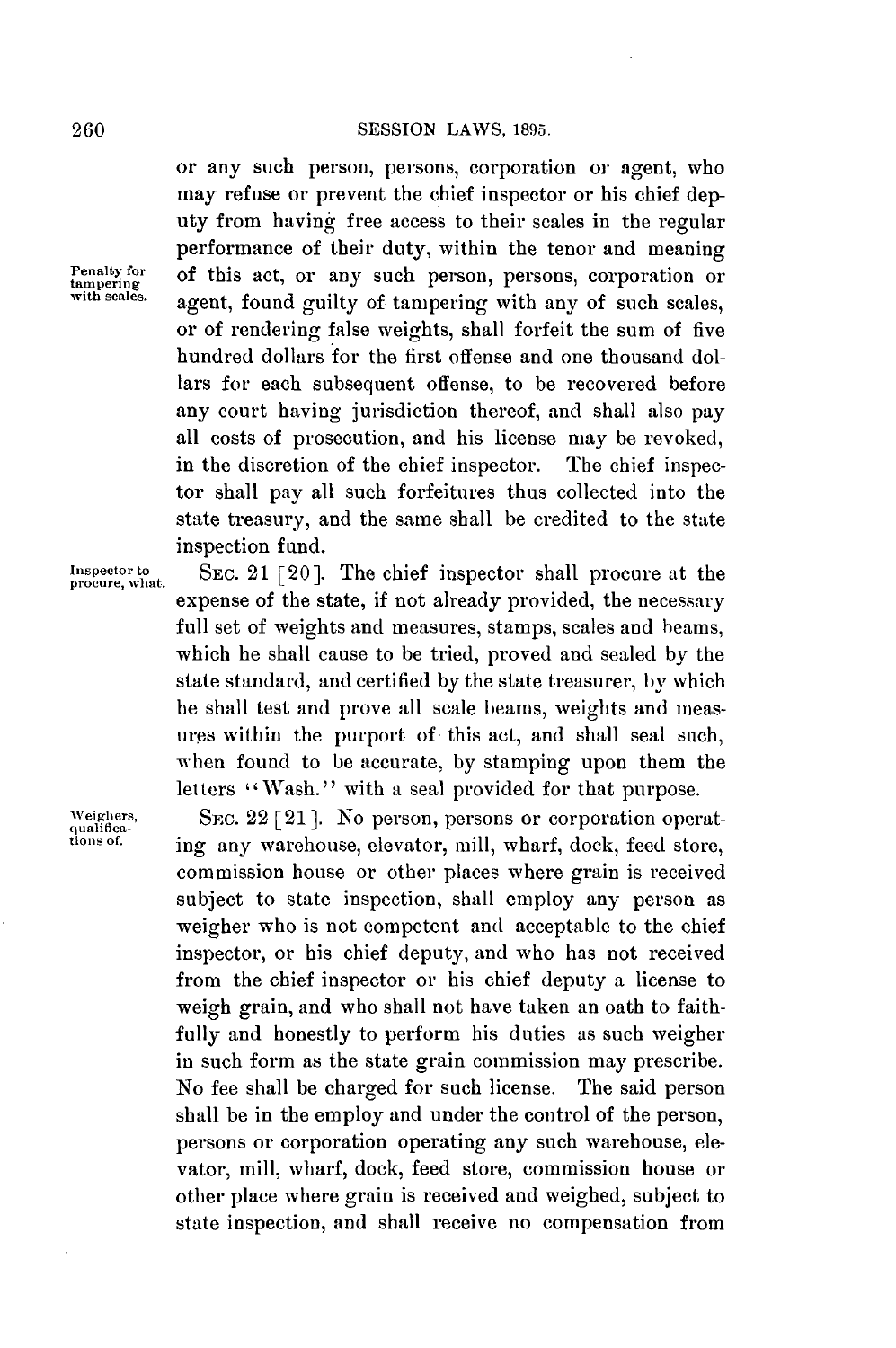or any such person, persons, corporation or agent, who may refuse or prevent the chief inspector or his chief deputy from having free access to their scales in the regular performance of their duty, within the tenor and meaning **enateinfr** of this act, or any such person, persons, corporation or **with scales.** agent, found guilty of tampering with any of such scales, or of rendering false weights, shall forfeit the sum of five hundred dollars for the first offense and one thousand dollars for each subsequent offense, to be recovered before any court having jurisdiction thereof, and shall also pay all costs of prosecution, and his license may be revoked, in the discretion of the chief inspector. The chief inspector shall pay all such forfeitures thus collected into the state treasury, and the same shall be credited to the state inspection fund.

Inspector to **SEC.** 21 [20]. The chief inspector shall procure at the expense of the state, if not already provided, the necessary full set of weights and measures, stamps, scales and beams, which he shall cause to be tried, proved and sealed **by** the state standard, and certified **by** the state treasurer, **by** which he shall test and prove all scale beams, weights and measures within the purport of this act, and shall seal such, when found to be accurate, **by** stamping upon them the letters "Wash." with a seal provided for that purpose.

Weighers, SEC. 22 [21]. No person, persons or corporation operat-<br> *tions* of *ing* any warehouse claystor will wharf doek food stare ing any warehouse, elevator, mill, wharf, dock, feed store, commission house or other places where grain is received subject to state inspection, shall employ any person as weigher who is not competent and acceptable to the chief inspector, or his chief deputy, and who has not received from the chief inspector or his chief deputy a license to weigh grain, and who shall not have taken an oath to faithfully and honestly to perform his duties as such weigher in such form as the state grain commission may prescribe. No fee shall be charged for such license. The said person shall be in the employ and under the control of the person, persons or corporation operating any such warehouse, elevator, mill, wharf, dock, feed store, commission house or other place where grain is received and weighed, subject to state inspection, and shall receive no compensation from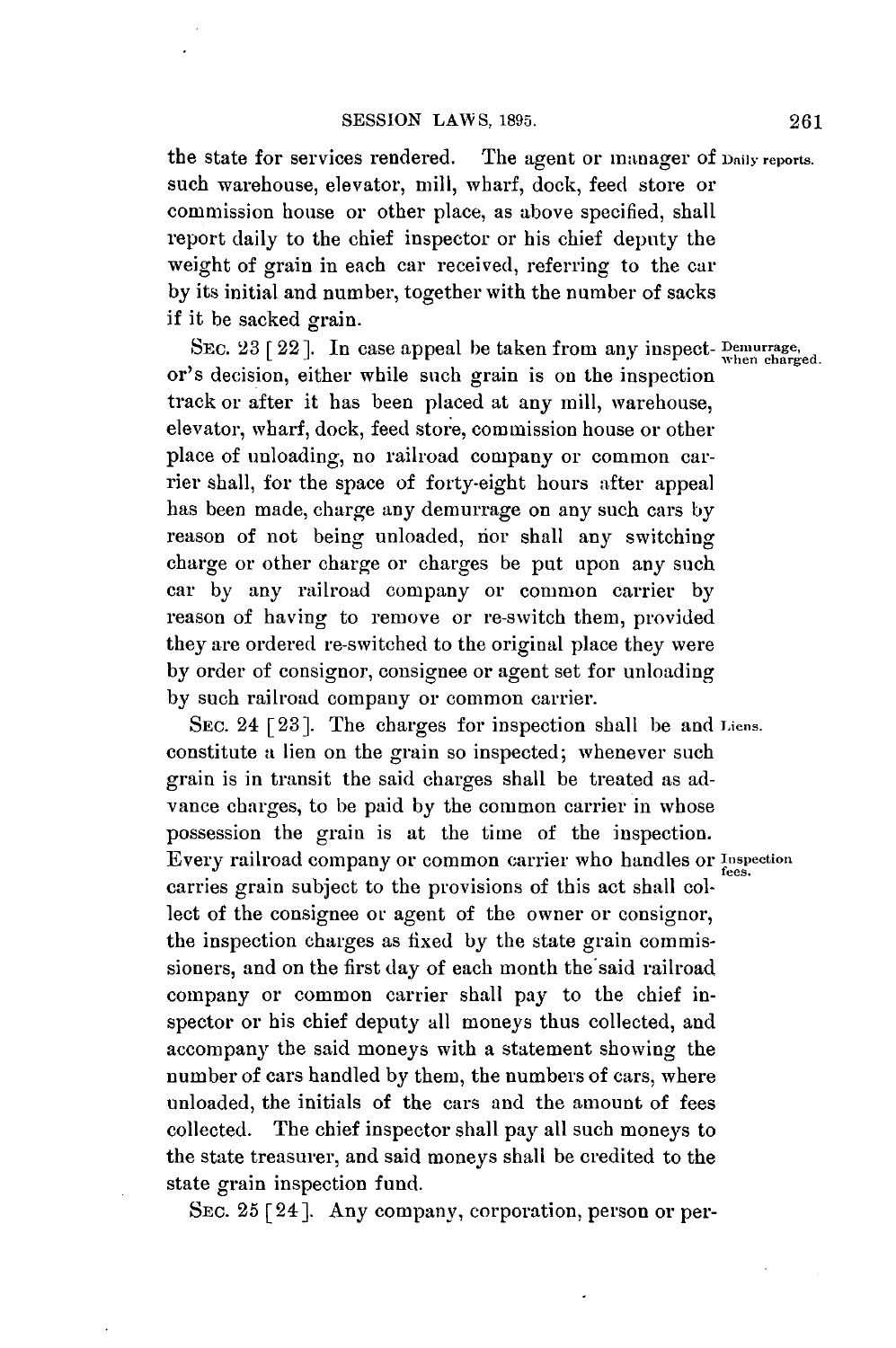the state for services rendered. The agent or manager **of Daily reports.** such warehouse, elevator, mill, wharf, dock, feed store or commission house or other place, as above specified, shall report daily to the chief inspector or his chief deputy the weight of grain in each car received, referring to the car **by** its initial and number, together with the number of sacks if it be sacked grain.

SEC. 23 [22]. In case appeal be taken from any inspect-  $\frac{Demurrence}{when charged}$ or's decision, either while such grain is on the inspection track or after it has been placed at any mill, warehouse, elevator, wharf, dock, feed store, commission house or other place of unloading, no railroad company or common carrier shall, for the space of forty-eight hours after appeal has been made, charge any demurrage on any such cars by reason of not being unloaded, ior shall any switching charge or other charge or charges be put upon any such car **by** any railroad company or common carrier **by** reason of having to remove or re-switch them, provided they are ordered re-switched to the original place they were **by** order of consignor, consignee or agent set for unloading **by** such railroad company or common carrier.

SEc. 24 **[23].** The charges for inspection shall be and **liens.** constitute a lien on the grain so inspected; whenever such grain is in transit the said charges shall be treated as advance charges, to be paid **by** the common carrier in whose possession the grain is at the time of the inspection. Every railroad company or common carrier who handles or **Tespection** carries grain subject to the provisions of this act shall collect of the consignee or agent of the owner or consignor, the inspection charges as fixed **by** the state grain commissioners, and on the first day of each month the said railroad company or common carrier shall pay to the chief inspector or his chief deputy all moneys thus collected, and accompany the said moneys with a statement showing the number of cars handled **by** them, the numbers of cars, where unloaded, the initials of the cars and the amount of fees collected. The chief inspector shall pay all such moneys to the state treasurer, and said moneys shall be credited to the state grain inspection fund.

SEc. **25 [24].** Any company, corporation, person or per-

**261**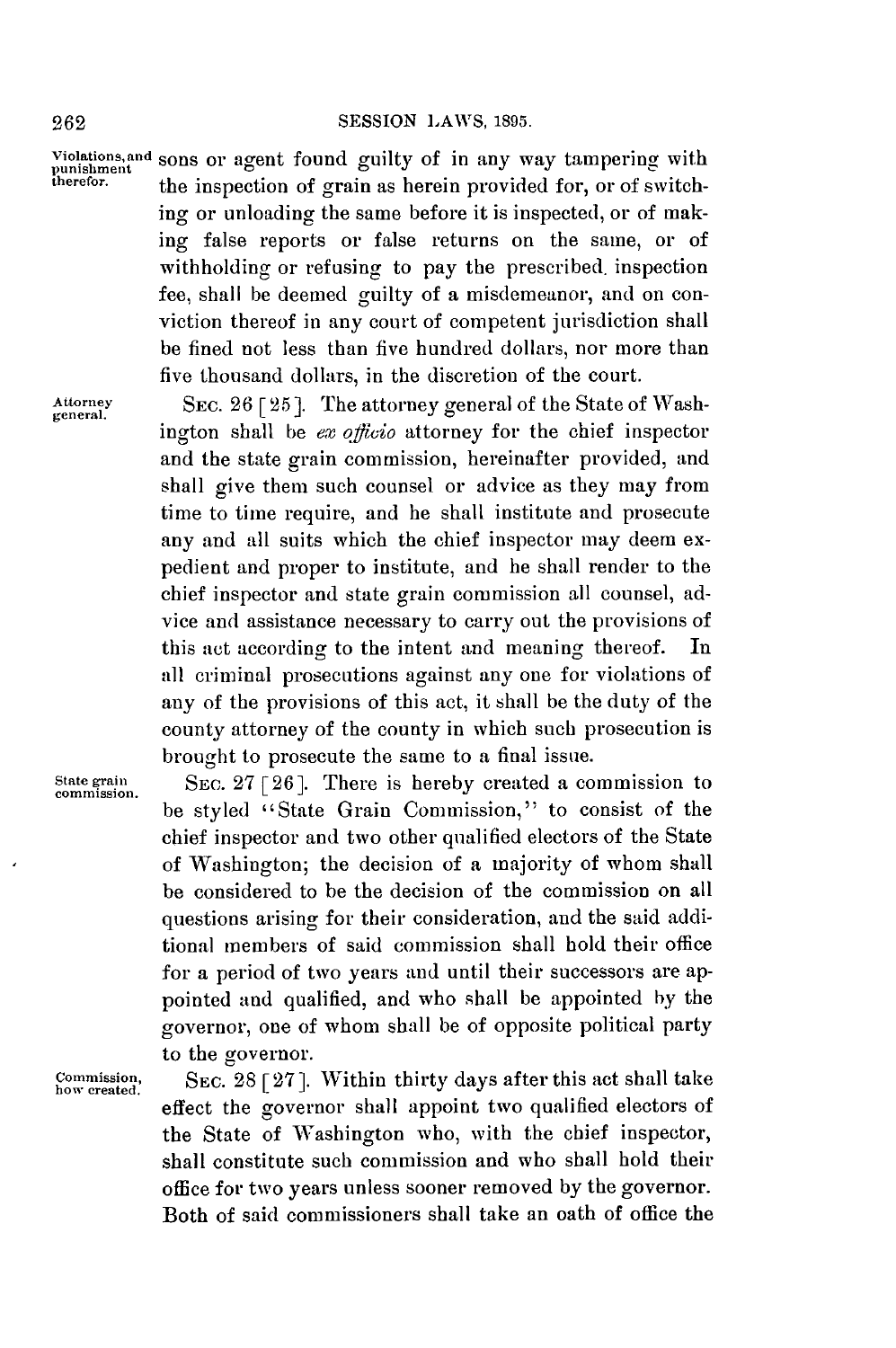#### **2 62 SESSION LAWS, 1895.**

**Piolations, and sons or agent found guilty of in any way tampering with** punishment the inspection of grain as herein provided for, or of switching or unloading the same before it is inspected, or of making false reports or false returns on the same, or of withholding or refusing to pay the prescribed, inspection fee, shall be deemed guilty of a misdemeanor, and on conviction thereof in any court of competent jurisdiction shall be fined not less than five hundred dollars, nor more than five thousand dollars, in the discretion of the court.

general.

Attorney SEC. 26 [25]. The attorney general of the State of Washington shall be ex officio attorney for the chief inspector and the state grain commission, hereinafter provided, and shall give them such counsel or advice as they may from time to time require, and he shall institute and prosecute any and all suits which the chief inspector may deem expedient and proper to institute, and he shall render to the chief inspector and state grain commission all counsel, advice and assistance necessary to carry out the provisions of this act according to the intent and meaning thereof. In all criminal prosecutions against any one for violations of any of the provisions of this act, it shall be the duty of the county attorney of the county in which such prosecution is brought to prosecute the same to a final issue.

State grain SEC. 27 [26]. There is hereby created a commission to be styled "State Grain Commission," to consist of the chief inspector and two other qualified electors of the State of Washington; the decision of a majority of whom shall be considered to be the decision of the commission on all questions arising for their consideration, and the said additional members of said commission shall hold their office for a period of two years and until their successors are appointed and qualified, and who shall be appointed **by** the governor, one of whom shall be of opposite political party to the governor.

**Commission,** SEc. **28 [ 27].** Within thirty days after this act shall take **how created.** effect the governor shall appoint two qualified electors of the State of Washington who, with the chief inspector, shall constitute such commission and who shall hold their office for two years unless sooner removed **by** the governor. Both of said commissioners shall take an oath of office the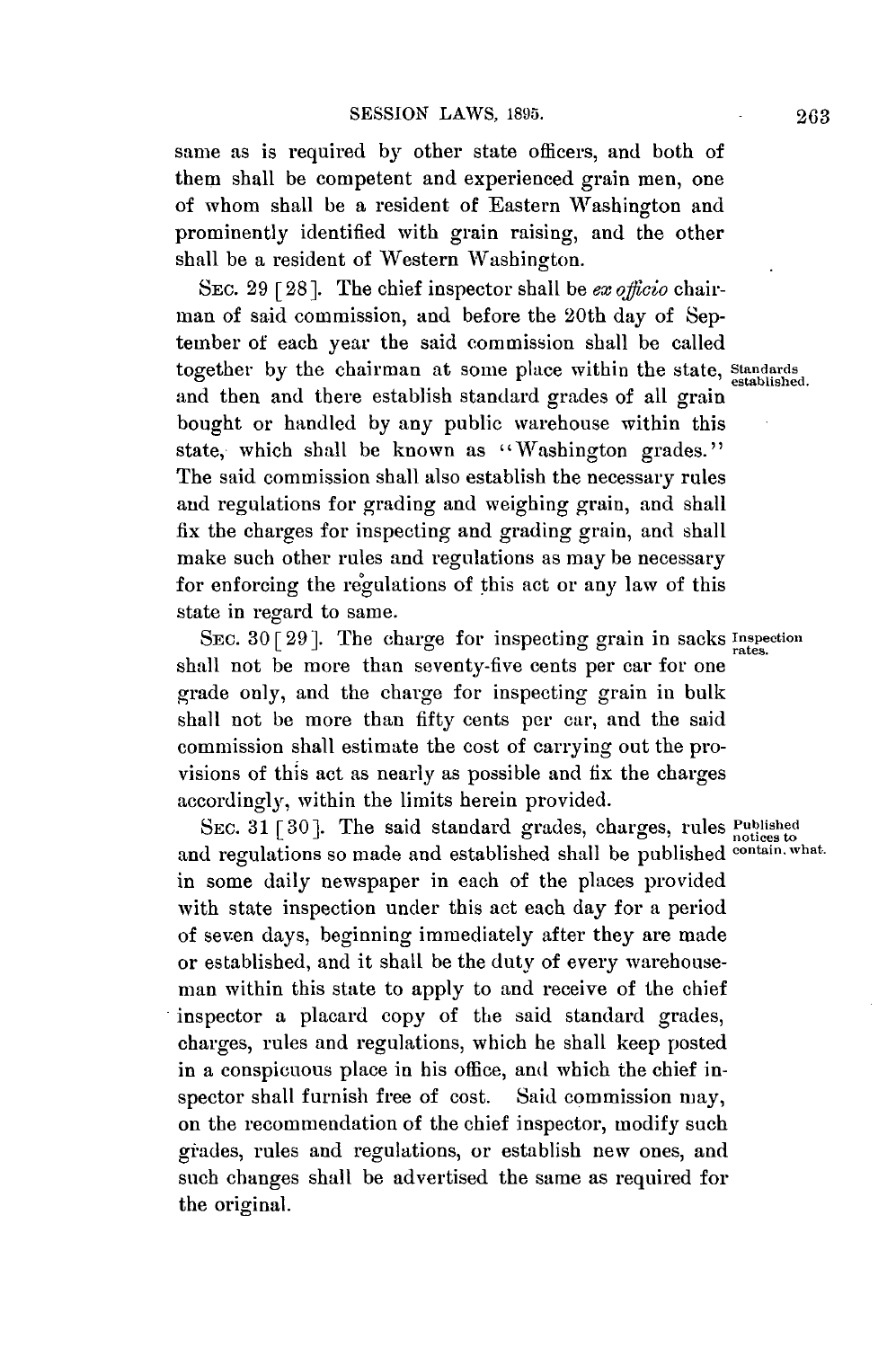same as is required **by** other state officers, and both of them shall be competent and experienced grain men, one of whom shall be a resident of Eastern Washington and prominently identified with grain raising, and the other shall be a resident of Western Washington.

SEC. **29 [28].** The chief inspector shall be *exoffcio* chairman of said commission, and before the 20th day of September of each year the said commission shall **be** called together **by** the chairman at some place within the state, Standards established. and then and there establish standard grades of all grain bought or handled **by** any public warehouse within this state, which shall be known as "Washington grades." The said commission shall also establish the necessary rules and regulations for grading and weighing grain, and shall fix the charges for inspecting and grading grain, and shall make such other rules and regulations as may be necessary for enforcing the regulations of this act or any law of this state in regard to same.

SEC. **30 [29].** The charge for inspecting grain in sacks **Insection** shall not **be** more than seventy-five cents per car for one grade only, and the charge for inspecting grain in bulk shall not **be** more than fifty cents per car, and the said commission shall estimate the cost of carrying out the provisions of this act as nearly as possible and fix the charges accordingly, within the limits herein provided.

SEC. 31 [30]. The said standard grades, charges, rules **Published** and regulations so made and established shall be published **contain**, what. in some daily newspaper in each of the places provided with state inspection under this act each day for a period of seven days, beginning immediately after they are made or established, and it shall be the duty of every warehouseman within this state to apply to and receive of the chief inspector a placard copy of the said standard grades, charges, rules and regulations, which he shall keep posted in a conspicuous place in his office, and which the chief inspector shall furnish free of cost. Said commission may, on the recommendation of the chief inspector, modify such grades, rules and regulations, or establish new ones, and such changes shall be advertised the same as required for the original.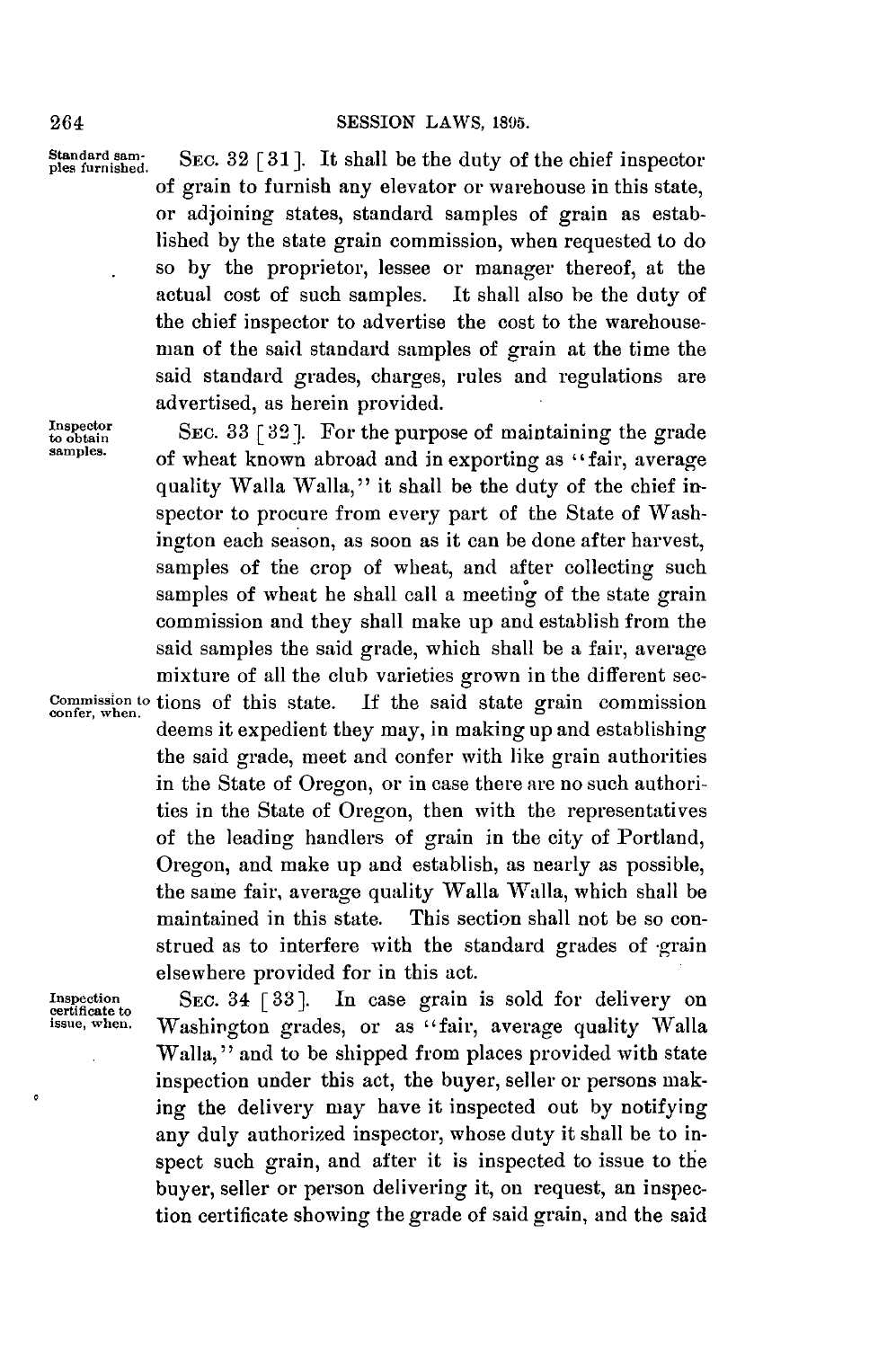Standard sam-<br>ples furnished. SEC. 32 [31]. It shall be the duty of the chief inspector of grain to furnish any elevator or warehouse in this state, or adjoining states, standard samples of grain as established **by** the state grain commission, when requested to do so **by** the proprietor, lessee or manager thereof, at the actual cost of such samples. It shall also be the duty of the chief inspector to advertise the cost to the warehouseman of the said standard samples of grain at the time the said standard grades, charges, rules and regulations are advertised, as herein provided.

Inspector **SEC. 33** [32]. For the purpose of maintaining the grade samples. **of wheat known abroad and in exporting as** "fair, average quality Walla Walla," it shall be the duty of the chief inspector to procure from every part of the State of Washington each season, as soon as it can be done after harvest, samples of the crop of wheat, and after collecting such samples of wheat he shall call a meeting of the state grain commission and they shall make up and establish from the said samples the said grade, which shall be a fair, average mixture of all the club varieties grown in the different sec**commission to** tions of this state. **If** the said state grain commission **confer, when.** deems it expedient they may, in making up and establishing the said grade, meet and confer with like grain authorities in the State of Oregon, or in case there are no such authorities in the State of Oregon, then with the representatives of the leading handlers of grain in the city of Portland, Oregon, and make up and establish, as nearly as possible, the same fair, average quality Walla Walla, which shall be maintained in this state. This section shall not **be** so construed as to interfere with the standard grades of -grain elsewhere provided for in this act.

**Inspection** SEc. 34 **[33].** In case grain is sold for delivery on certificate to **issue, when.** Washington grades, or as "fair, average quality Walla Walla," and to be shipped from places provided with state inspection under this act, the buyer, seller or persons making the delivery may have it inspected out **by** notifying any duly authorized inspector, whose duty it shall be to inspect such grain, and after it is inspected to issue to the buyer, seller or person delivering it, on request, an inspection certificate showing the grade of said grain, and the said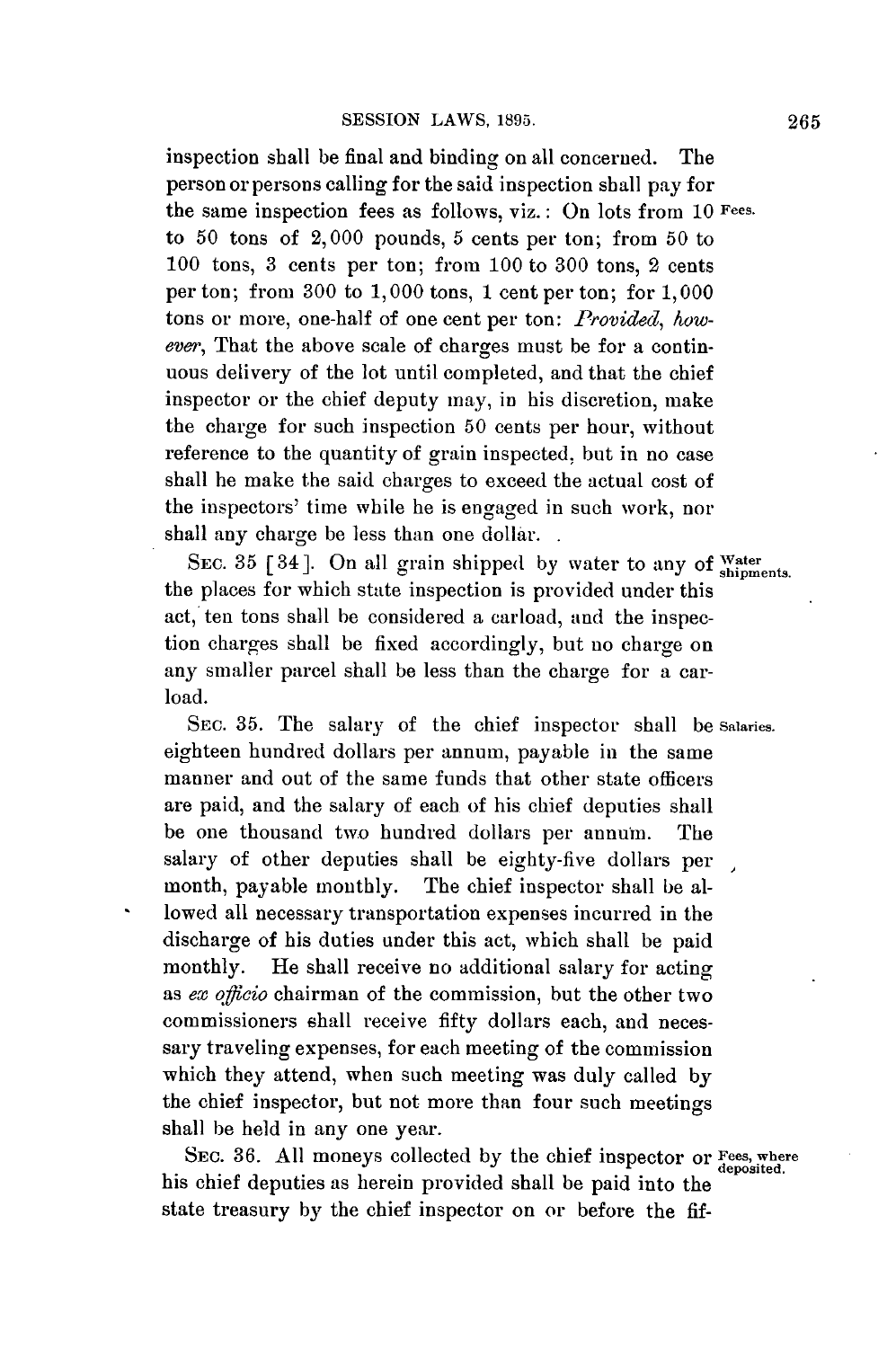inspection shall be final and binding on all concerned. The person or persons calling for the said inspection shall pay for the same inspection fees as follows, viz.: On lots from **10 Fees.** to **50** tons of 2,000 pounds, **5** cents per ton; from **50** to **100** tons, **3** cents per ton; from **100** to **300** tons, 2 cents per ton; from **300** to **1,000** tons, 1 cent per ton; for **1,000** tons or more, one-half of one cent per ton: *Provided, however,* That the above scale of charges must be for a continuous delivery of the lot until completed, and that the chief inspector or the chief deputy may, in his discretion, make the charge for such inspection **50** cents per hour, without reference to the quantity of grain inspected, but in no case shall he make the said charges to exceed the actual cost of the inspectors' time while he is engaged in such work, nor shall any charge be less than one dollar.

SEC. 35 [34]. On all grain shipped by water to any of Water the places for which state inspection is provided under this act, ten tons shall be considered a carload, and the inspection charges shall be fixed accordingly, but no charge on any smaller parcel shall be less than the charge for a carload.

SEc. **35.** The salary of the chief inspector shall be **Salaries.** eighteen hundred dollars per annum, payable in the same manner and out of the same funds that other state officers are paid, and the salary of each of his chief deputies shall be one thousand two hundred dollars per annun. The salary of other deputies shall be eighty-five dollars per month, payable monthly. The chief inspector shall be allowed all necessary transportation expenses incurred in the discharge of his duties under this act, which shall be paid monthly. He shall receive no additional salary for acting as *ex officio* chairman of the commission, but the other two commissioners shall receive fifty dollars each, and necessary traveling expenses, for each meeting of the commission which they attend, when such meeting was duly called **by** the chief inspector, but not more than four such meetings shall be held in any one year.

SEc. **36. All** moneys collected **by** the chief inspector or **Fees, where deposited.** his chief deputies as herein provided shall be paid into the state treasury **by** the chief inspector on or before the **fif-**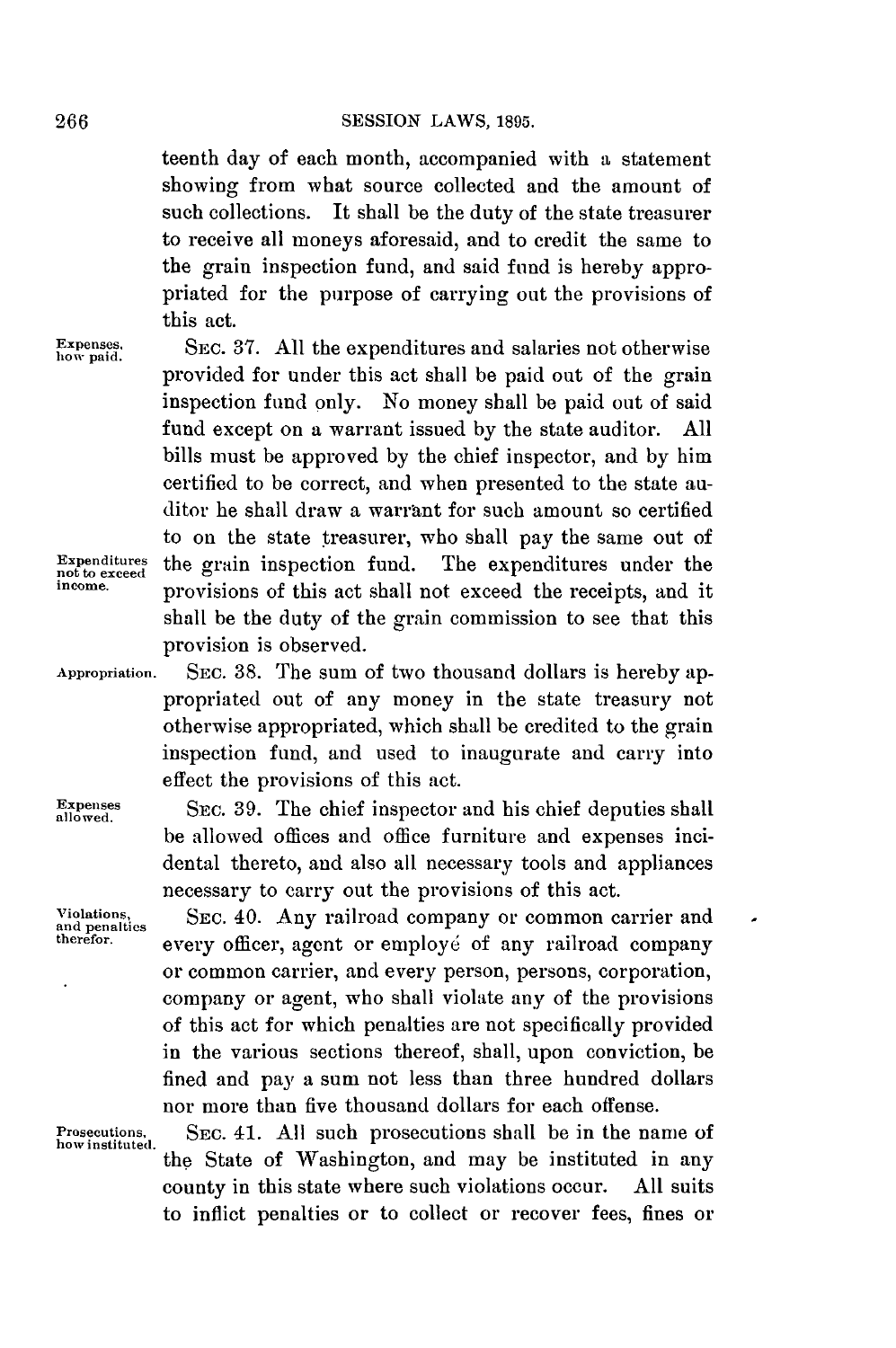teenth day of each month, accompanied with a statement showing from what source collected and the amount of such collections. It shall be the duty of the state treasurer to receive all moneys aforesaid, and to credit the same to the grain inspection fund, and said fund is hereby appropriated for the purpose of carrying out the provisions of this act.

provided for under this act shall be paid out of the grain inspection fund only. No money shall be paid out of said fund except on a warrant issued **by** the state auditor. **All** bills must be approved **by** the chief inspector, and **by** him certified to be correct, and when presented to the state auditor he shall draw a warrant for such amount so certified to on the state treasurer, who shall pay the same out of

**Expenses.** SEc. **37. All** the expenditures and salaries not otherwise **how paid.**

**Expenditures** the grain inspection fund. The expenditures under the income, provisions of this set shall not exceed the rescipts and it

provision is observed.

**Appropriation.** SEc. **38.** The sum of two thousand dollars is hereby appropriated out of any money in the state treasury not otherwise appropriated, which shall be credited to the grain inspection fund, and used to inaugurate and carry into effect the provisions of this act.

provisions of this act shall not exceed the receipts, and it shall be the duty of the grain commission to see that this

Expenses SEC. 39. The chief inspector and his chief deputies shall be allowed offices and office furniture and expenses incidental thereto, and also all necessary tools and appliances necessary to carry out the provisions of this act.

Violations, SEC. 40. Any railroad company or common carrier and and penalties<br>
and penalties<br> **And PERSON CONSUMERTY** CONDUCT OF **PRIMERS** every officer, agent or employé of any railroad company or common carrier, and every person, persons, corporation, company or agent, who shall violate any of the provisions of this act for which penalties are not specifically provided in the various sections thereof, shall, upon conviction, be fined and pay a sum not less than three hundred dollars nor more than five thousand dollars for each offense.

 $\overline{a}$ 

Prosecutions, SEc. 41. **All** such prosecutions shall be in the name of **how instituted.** the State of Washington, and may be instituted in any county in this state where such violations occur. **All** suits to inflict penalties or to collect or recover fees, fines or